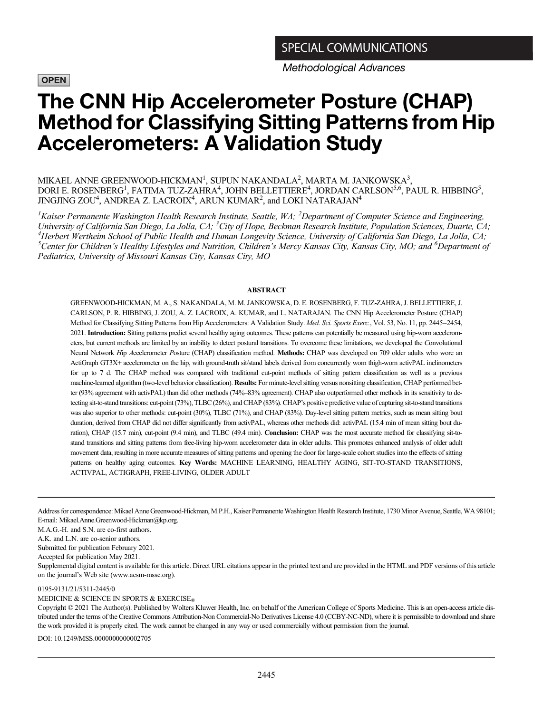**OPEN** 

Methodological Advances

# The CNN Hip Accelerometer Posture (CHAP) Method for Classifying Sitting Patterns from Hip Accelerometers: A Validation Study

## MIKAEL ANNE GREENWOOD-HICKMAN<sup>1</sup>, SUPUN NAKANDALA<sup>2</sup>, MARTA M. JANKOWSKA $^3,$ DORI E. ROSENBERG<sup>1</sup>, FATIMA TUZ-ZAHRA<sup>4</sup>, JOHN BELLETTIERE<sup>4</sup>, JORDAN CARLSON<sup>5,6</sup>, PAUL R. HIBBING<sup>5</sup>, JINGJING ZOU<sup>4</sup>, ANDREA Z. LACROIX<sup>4</sup>, ARUN KUMAR<sup>2</sup>, and LOKI NATARAJAN<sup>4</sup>

<sup>1</sup>Kaiser Permanente Washington Health Research Institute, Seattle, WA; <sup>2</sup>Department of Computer Science and Engineering, University of California San Diego, La Jolla, CA; <sup>3</sup>City of Hope, Beckman Research Institute, Population Sciences, Duarte, CA;<br><sup>4</sup>Herbert Wertheim School of Public Health and Human Longevity Science, University of Califor Herbert Wertheim School of Public Health and Human Longevity Science, University of California San Diego, La Jolla, CA; <sup>5</sup>Center for Children's Healthy Lifestyles and Nutrition, Children's Mercy Kansas City, Kansas City, MO; and <sup>6</sup>Department of Pediatrics, University of Missouri Kansas City, Kansas City, MO

#### ABSTRACT

GREENWOOD-HICKMAN, M. A., S. NAKANDALA, M. M. JANKOWSKA, D. E. ROSENBERG, F. TUZ-ZAHRA, J. BELLETTIERE, J. CARLSON, P. R. HIBBING, J. ZOU, A. Z. LACROIX, A. KUMAR, and L. NATARAJAN. The CNN Hip Accelerometer Posture (CHAP) Method for Classifying Sitting Patterns from Hip Accelerometers: A Validation Study. Med. Sci. Sports Exerc., Vol. 53, No. 11, pp. 2445-2454, 2021. Introduction: Sitting patterns predict several healthy aging outcomes. These patterns can potentially be measured using hip-worn accelerometers, but current methods are limited by an inability to detect postural transitions. To overcome these limitations, we developed the Convolutional Neural Network Hip Accelerometer Posture (CHAP) classification method. Methods: CHAP was developed on 709 older adults who wore an ActiGraph GT3X+ accelerometer on the hip, with ground-truth sit/stand labels derived from concurrently worn thigh-worn activPAL inclinometers for up to 7 d. The CHAP method was compared with traditional cut-point methods of sitting pattern classification as well as a previous machine-learned algorithm (two-level behavior classification). Results: For minute-level sitting versus nonsitting classification, CHAP performed better (93% agreement with activPAL) than did other methods (74%–83% agreement). CHAP also outperformed other methods in its sensitivity to detecting sit-to-stand transitions: cut-point (73%), TLBC (26%), and CHAP (83%). CHAP's positive predictive value of capturing sit-to-stand transitions was also superior to other methods: cut-point (30%), TLBC (71%), and CHAP (83%). Day-level sitting pattern metrics, such as mean sitting bout duration, derived from CHAP did not differ significantly from activPAL, whereas other methods did: activPAL (15.4 min of mean sitting bout duration), CHAP (15.7 min), cut-point (9.4 min), and TLBC (49.4 min). **Conclusion:** CHAP was the most accurate method for classifying sit-tostand transitions and sitting patterns from free-living hip-worn accelerometer data in older adults. This promotes enhanced analysis of older adult movement data, resulting in more accurate measures of sitting patterns and opening the door for large-scale cohort studies into the effects of sitting patterns on healthy aging outcomes. Key Words: MACHINE LEARNING, HEALTHY AGING, SIT-TO-STAND TRANSITIONS, ACTIVPAL, ACTIGRAPH, FREE-LIVING, OLDER ADULT

Address for correspondence: Mikael Anne Greenwood-Hickman, M.P.H., Kaiser Permanente Washington Health Research Institute, 1730 Minor Avenue, Seattle, WA 98101; E-mail: [Mikael.Anne.Greenwood-Hickman@kp.org](mailto:Mikael.�Anne.�Greenwood-Hickman@kp.org).

M.A.G.-H. and S.N. are co-first authors.

A.K. and L.N. are co-senior authors.

Submitted for publication February 2021.

Accepted for publication May 2021.

Supplemental digital content is available for this article. Direct URL citations appear in the printed text and are provided in the HTML and PDF versions of this article on the journal's Web site ([www.acsm-msse.org](http://www.acsm-msse.org)).

#### 0195-9131/21/5311-2445/0

MEDICINE & SCIENCE IN SPORTS & EXERCISE®

Copyright © 2021 The Author(s). Published by Wolters Kluwer Health, Inc. on behalf of the American College of Sports Medicine. This is an open-access article distributed under the terms of the [Creative Commons Attribution-Non Commercial-No Derivatives License 4.0 \(CCBY-NC-ND\),](http://creativecommons.org/licenses/by-nc-nd/4.0/) where it is permissible to download and share the work provided it is properly cited. The work cannot be changed in any way or used commercially without permission from the journal.

DOI: 10.1249/MSS.0000000000002705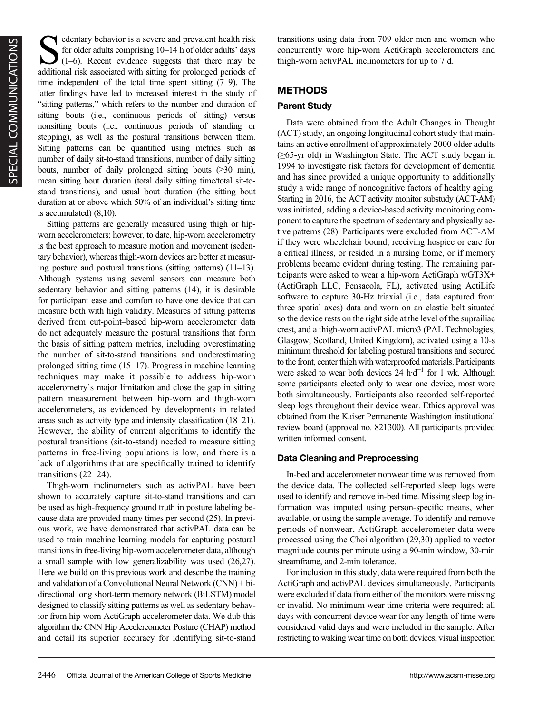Sedentary behavior is a severe and prevalent health risk for older adults comprising 10–14 h of older adults' days  $(1-6)$ . Recent evidence suggests that there may be additional risk associated with sitting for prolonged periods of time independent of the total time spent sitting (7–9). The latter findings have led to increased interest in the study of "sitting patterns," which refers to the number and duration of sitting bouts (i.e., continuous periods of sitting) versus nonsitting bouts (i.e., continuous periods of standing or stepping), as well as the postural transitions between them. Sitting patterns can be quantified using metrics such as number of daily sit-to-stand transitions, number of daily sitting bouts, number of daily prolonged sitting bouts  $(\geq 30 \text{ min})$ , mean sitting bout duration (total daily sitting time/total sit-tostand transitions), and usual bout duration (the sitting bout duration at or above which 50% of an individual's sitting time is accumulated) (8,10).

Sitting patterns are generally measured using thigh or hipworn accelerometers; however, to date, hip-worn accelerometry is the best approach to measure motion and movement (sedentary behavior), whereas thigh-worn devices are better at measuring posture and postural transitions (sitting patterns) (11–13). Although systems using several sensors can measure both sedentary behavior and sitting patterns (14), it is desirable for participant ease and comfort to have one device that can measure both with high validity. Measures of sitting patterns derived from cut-point–based hip-worn accelerometer data do not adequately measure the postural transitions that form the basis of sitting pattern metrics, including overestimating the number of sit-to-stand transitions and underestimating prolonged sitting time (15–17). Progress in machine learning techniques may make it possible to address hip-worn accelerometry's major limitation and close the gap in sitting pattern measurement between hip-worn and thigh-worn accelerometers, as evidenced by developments in related areas such as activity type and intensity classification (18–21). However, the ability of current algorithms to identify the postural transitions (sit-to-stand) needed to measure sitting patterns in free-living populations is low, and there is a lack of algorithms that are specifically trained to identify transitions (22–24).

Thigh-worn inclinometers such as activPAL have been shown to accurately capture sit-to-stand transitions and can be used as high-frequency ground truth in posture labeling because data are provided many times per second (25). In previous work, we have demonstrated that activPAL data can be used to train machine learning models for capturing postural transitions in free-living hip-worn accelerometer data, although a small sample with low generalizability was used (26,27). Here we build on this previous work and describe the training and validation of a Convolutional Neural Network (CNN) + bidirectional long short-term memory network (BiLSTM) model designed to classify sitting patterns as well as sedentary behavior from hip-worn ActiGraph accelerometer data. We dub this algorithm the CNN Hip Accelereometer Posture (CHAP) method and detail its superior accuracy for identifying sit-to-stand transitions using data from 709 older men and women who concurrently wore hip-worn ActiGraph accelerometers and thigh-worn activPAL inclinometers for up to 7 d.

# METHODS

## Parent Study

Data were obtained from the Adult Changes in Thought (ACT) study, an ongoing longitudinal cohort study that maintains an active enrollment of approximately 2000 older adults (≥65-yr old) in Washington State. The ACT study began in 1994 to investigate risk factors for development of dementia and has since provided a unique opportunity to additionally study a wide range of noncognitive factors of healthy aging. Starting in 2016, the ACT activity monitor substudy (ACT-AM) was initiated, adding a device-based activity monitoring component to capture the spectrum of sedentary and physically active patterns (28). Participants were excluded from ACT-AM if they were wheelchair bound, receiving hospice or care for a critical illness, or resided in a nursing home, or if memory problems became evident during testing. The remaining participants were asked to wear a hip-worn ActiGraph wGT3X+ (ActiGraph LLC, Pensacola, FL), activated using ActiLife software to capture 30-Hz triaxial (i.e., data captured from three spatial axes) data and worn on an elastic belt situated so the device rests on the right side at the level of the suprailiac crest, and a thigh-worn activPAL micro3 (PAL Technologies, Glasgow, Scotland, United Kingdom), activated using a 10-s minimum threshold for labeling postural transitions and secured to the front, center thigh with waterproofed materials. Participants were asked to wear both devices 24 h·d<sup>-1</sup> for 1 wk. Although some participants elected only to wear one device, most wore both simultaneously. Participants also recorded self-reported sleep logs throughout their device wear. Ethics approval was obtained from the Kaiser Permanente Washington institutional review board (approval no. 821300). All participants provided written informed consent.

## Data Cleaning and Preprocessing

In-bed and accelerometer nonwear time was removed from the device data. The collected self-reported sleep logs were used to identify and remove in-bed time. Missing sleep log information was imputed using person-specific means, when available, or using the sample average. To identify and remove periods of nonwear, ActiGraph accelerometer data were processed using the Choi algorithm (29,30) applied to vector magnitude counts per minute using a 90-min window, 30-min streamframe, and 2-min tolerance.

For inclusion in this study, data were required from both the ActiGraph and activPAL devices simultaneously. Participants were excluded if data from either of the monitors were missing or invalid. No minimum wear time criteria were required; all days with concurrent device wear for any length of time were considered valid days and were included in the sample. After restricting to waking wear time on both devices, visual inspection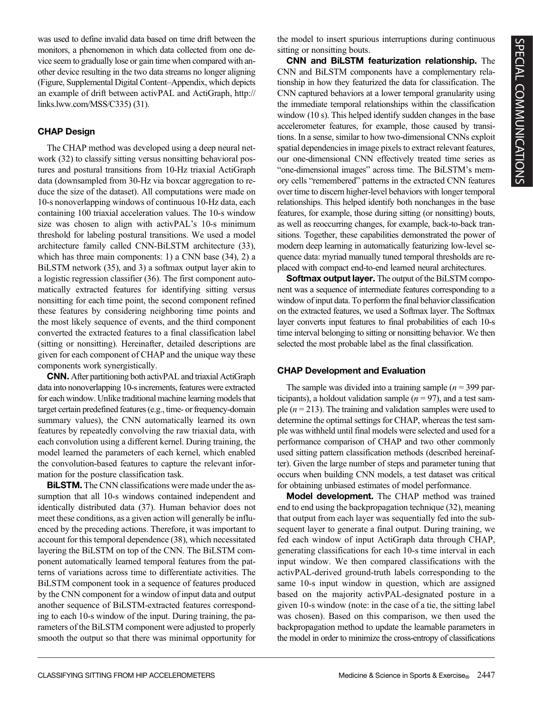was used to define invalid data based on time drift between the monitors, a phenomenon in which data collected from one device seem to gradually lose or gain time when compared with another device resulting in the two data streams no longer aligning (Figure, Supplemental Digital Content–Appendix, which depicts an example of drift between activPAL and ActiGraph, [http://](http://links.lww.com/MSS/C335) [links.lww.com/MSS/C335\)](http://links.lww.com/MSS/C335) (31).

### CHAP Design

The CHAP method was developed using a deep neural network (32) to classify sitting versus nonsitting behavioral postures and postural transitions from 10-Hz triaxial ActiGraph data (downsampled from 30-Hz via boxcar aggregation to reduce the size of the dataset). All computations were made on 10-s nonoverlapping windows of continuous 10-Hz data, each containing 100 triaxial acceleration values. The 10-s window size was chosen to align with activPAL's 10-s minimum threshold for labeling postural transitions. We used a model architecture family called CNN-BiLSTM architecture (33), which has three main components: 1) a CNN base (34), 2) a BiLSTM network (35), and 3) a softmax output layer akin to a logistic regression classifier (36). The first component automatically extracted features for identifying sitting versus nonsitting for each time point, the second component refined these features by considering neighboring time points and the most likely sequence of events, and the third component converted the extracted features to a final classification label (sitting or nonsitting). Hereinafter, detailed descriptions are given for each component of CHAP and the unique way these components work synergistically.

CNN. After partitioning both activPAL and triaxial ActiGraph data into nonoverlapping 10-s increments, features were extracted for each window. Unlike traditional machine learning models that target certain predefined features (e.g., time- or frequency-domain summary values), the CNN automatically learned its own features by repeatedly convolving the raw triaxial data, with each convolution using a different kernel. During training, the model learned the parameters of each kernel, which enabled the convolution-based features to capture the relevant information for the posture classification task.

BiLSTM. The CNN classifications were made under the assumption that all 10-s windows contained independent and identically distributed data (37). Human behavior does not meet these conditions, as a given action will generally be influenced by the preceding actions. Therefore, it was important to account for this temporal dependence (38), which necessitated layering the BiLSTM on top of the CNN. The BiLSTM component automatically learned temporal features from the patterns of variations across time to differentiate activities. The BiLSTM component took in a sequence of features produced by the CNN component for a window of input data and output another sequence of BiLSTM-extracted features corresponding to each 10-s window of the input. During training, the parameters of the BiLSTM component were adjusted to properly smooth the output so that there was minimal opportunity for the model to insert spurious interruptions during continuous sitting or nonsitting bouts.

CNN and BiLSTM featurization relationship. The CNN and BiLSTM components have a complementary relationship in how they featurized the data for classification. The CNN captured behaviors at a lower temporal granularity using the immediate temporal relationships within the classification window (10 s). This helped identify sudden changes in the base accelerometer features, for example, those caused by transitions. In a sense, similar to how two-dimensional CNNs exploit spatial dependencies in image pixels to extract relevant features, our one-dimensional CNN effectively treated time series as "one-dimensional images" across time. The BiLSTM's memory cells "remembered" patterns in the extracted CNN features over time to discern higher-level behaviors with longer temporal relationships. This helped identify both nonchanges in the base features, for example, those during sitting (or nonsitting) bouts, as well as reoccurring changes, for example, back-to-back transitions. Together, these capabilities demonstrated the power of modern deep learning in automatically featurizing low-level sequence data: myriad manually tuned temporal thresholds are replaced with compact end-to-end learned neural architectures.

Softmax output layer. The output of the BiLSTM component was a sequence of intermediate features corresponding to a window of input data. To perform the final behavior classification on the extracted features, we used a Softmax layer. The Softmax layer converts input features to final probabilities of each 10-s time interval belonging to sitting or nonsitting behavior. We then selected the most probable label as the final classification.

#### CHAP Development and Evaluation

The sample was divided into a training sample  $(n = 399$  participants), a holdout validation sample ( $n = 97$ ), and a test sample ( $n = 213$ ). The training and validation samples were used to determine the optimal settings for CHAP, whereas the test sample was withheld until final models were selected and used for a performance comparison of CHAP and two other commonly used sitting pattern classification methods (described hereinafter). Given the large number of steps and parameter tuning that occurs when building CNN models, a test dataset was critical for obtaining unbiased estimates of model performance.

Model development. The CHAP method was trained end to end using the backpropagation technique (32), meaning that output from each layer was sequentially fed into the subsequent layer to generate a final output. During training, we fed each window of input ActiGraph data through CHAP, generating classifications for each 10-s time interval in each input window. We then compared classifications with the activPAL-derived ground-truth labels corresponding to the same 10-s input window in question, which are assigned based on the majority activPAL-designated posture in a given 10-s window (note: in the case of a tie, the sitting label was chosen). Based on this comparison, we then used the backpropagation method to update the learnable parameters in the model in order to minimize the cross-entropy of classifications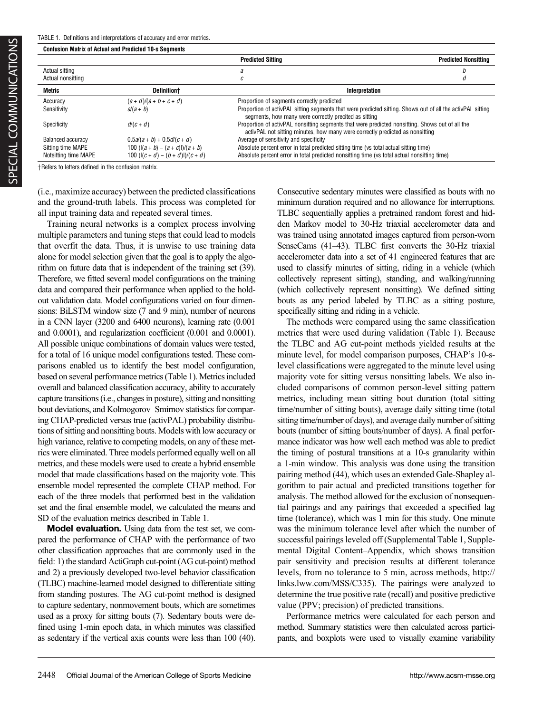Confusion Matrix of Actual and Predicted 10-s Segments

|                      |                                       | <b>Predicted Sitting</b>                                                                                                                                                         | <b>Predicted Nonsitting</b> |  |  |
|----------------------|---------------------------------------|----------------------------------------------------------------------------------------------------------------------------------------------------------------------------------|-----------------------------|--|--|
| Actual sitting       |                                       |                                                                                                                                                                                  |                             |  |  |
| Actual nonsitting    |                                       |                                                                                                                                                                                  |                             |  |  |
| Metric               | <b>Definitiont</b>                    | Interpretation                                                                                                                                                                   |                             |  |  |
| Accuracy             | $(a + d)/(a + b + c + d)$             | Proportion of segments correctly predicted                                                                                                                                       |                             |  |  |
| Sensitivity          | $a/(a + b)$                           | Proportion of activPAL sitting segments that were predicted sitting. Shows out of all the activPAL sitting<br>segments, how many were correctly precited as sitting              |                             |  |  |
| Specificity          | $d/(c+d)$                             | Proportion of activPAL nonsitting segments that were predicted nonsitting. Shows out of all the<br>activPAL not sitting minutes, how many were correctly predicted as nonsitting |                             |  |  |
| Balanced accuracy    | $0.5a/(a + b) + 0.5d/(c + d)$         | Average of sensitivity and specificity                                                                                                                                           |                             |  |  |
| Sitting time MAPE    | 100 ( $ (a + b) - (a + c) /(a + b)$ ) | Absolute percent error in total predicted sitting time (vs total actual sitting time)                                                                                            |                             |  |  |
| Notsitting time MAPE | 100 ( $ (c+d)-(b+d) /(c+d)$ )         | Absolute percent error in total predicted nonsitting time (vs total actual nonsitting time)                                                                                      |                             |  |  |

†Refers to letters defined in the confusion matrix.

(i.e., maximize accuracy) between the predicted classifications and the ground-truth labels. This process was completed for all input training data and repeated several times.

Training neural networks is a complex process involving multiple parameters and tuning steps that could lead to models that overfit the data. Thus, it is unwise to use training data alone for model selection given that the goal is to apply the algorithm on future data that is independent of the training set (39). Therefore, we fitted several model configurations on the training data and compared their performance when applied to the holdout validation data. Model configurations varied on four dimensions: BiLSTM window size (7 and 9 min), number of neurons in a CNN layer (3200 and 6400 neurons), learning rate (0.001 and 0.0001), and regularization coefficient (0.001 and 0.0001). All possible unique combinations of domain values were tested, for a total of 16 unique model configurations tested. These comparisons enabled us to identify the best model configuration, based on several performance metrics (Table 1). Metrics included overall and balanced classification accuracy, ability to accurately capture transitions (i.e., changes in posture), sitting and nonsitting bout deviations, and Kolmogorov–Smirnov statistics for comparing CHAP-predicted versus true (activPAL) probability distributions of sitting and nonsitting bouts. Models with low accuracy or high variance, relative to competing models, on any of these metrics were eliminated. Three models performed equally well on all metrics, and these models were used to create a hybrid ensemble model that made classifications based on the majority vote. This ensemble model represented the complete CHAP method. For each of the three models that performed best in the validation set and the final ensemble model, we calculated the means and SD of the evaluation metrics described in Table 1.

Model evaluation. Using data from the test set, we compared the performance of CHAP with the performance of two other classification approaches that are commonly used in the field: 1) the standard ActiGraph cut-point (AG cut-point) method and 2) a previously developed two-level behavior classification (TLBC) machine-learned model designed to differentiate sitting from standing postures. The AG cut-point method is designed to capture sedentary, nonmovement bouts, which are sometimes used as a proxy for sitting bouts (7). Sedentary bouts were defined using 1-min epoch data, in which minutes was classified as sedentary if the vertical axis counts were less than 100 (40).

Consecutive sedentary minutes were classified as bouts with no minimum duration required and no allowance for interruptions. TLBC sequentially applies a pretrained random forest and hidden Markov model to 30-Hz triaxial accelerometer data and was trained using annotated images captured from person-worn SenseCams (41–43). TLBC first converts the 30-Hz triaxial accelerometer data into a set of 41 engineered features that are used to classify minutes of sitting, riding in a vehicle (which collectively represent sitting), standing, and walking/running (which collectively represent nonsitting). We defined sitting bouts as any period labeled by TLBC as a sitting posture, specifically sitting and riding in a vehicle.

The methods were compared using the same classification metrics that were used during validation (Table 1). Because the TLBC and AG cut-point methods yielded results at the minute level, for model comparison purposes, CHAP's 10-slevel classifications were aggregated to the minute level using majority vote for sitting versus nonsitting labels. We also included comparisons of common person-level sitting pattern metrics, including mean sitting bout duration (total sitting time/number of sitting bouts), average daily sitting time (total sitting time/number of days), and average daily number of sitting bouts (number of sitting bouts/number of days). A final performance indicator was how well each method was able to predict the timing of postural transitions at a 10-s granularity within a 1-min window. This analysis was done using the transition pairing method (44), which uses an extended Gale-Shapley algorithm to pair actual and predicted transitions together for analysis. The method allowed for the exclusion of nonsequential pairings and any pairings that exceeded a specified lag time (tolerance), which was 1 min for this study. One minute was the minimum tolerance level after which the number of successful pairings leveled off (Supplemental Table 1, Supplemental Digital Content–Appendix, which shows transition pair sensitivity and precision results at different tolerance levels, from no tolerance to 5 min, across methods, [http://](http://links.lww.com/MSS/C335) [links.lww.com/MSS/C335\)](http://links.lww.com/MSS/C335). The pairings were analyzed to determine the true positive rate (recall) and positive predictive value (PPV; precision) of predicted transitions.

Performance metrics were calculated for each person and method. Summary statistics were then calculated across participants, and boxplots were used to visually examine variability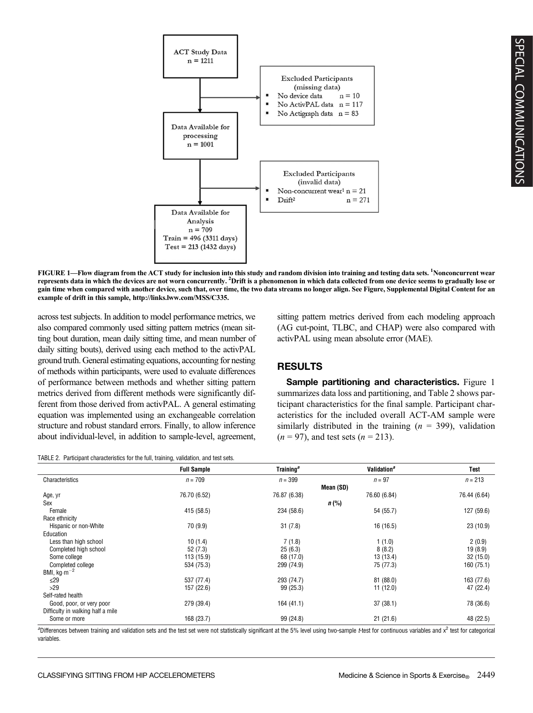

FIGURE 1—Flow diagram from the ACT study for inclusion into this study and random division into training and testing data sets. <sup>1</sup>Nonconcurrent wear represents data in which the devices are not worn concurrently. <sup>2</sup>Drift is a phenomenon in which data collected from one device seems to gradually lose or gain time when compared with another device, such that, over time, the two data streams no longer align. See Figure, Supplemental Digital Content for an example of drift in this sample,<http://links.lww.com/MSS/C335>.

across test subjects. In addition to model performance metrics, we also compared commonly used sitting pattern metrics (mean sitting bout duration, mean daily sitting time, and mean number of daily sitting bouts), derived using each method to the activPAL ground truth. General estimating equations, accounting for nesting of methods within participants, were used to evaluate differences of performance between methods and whether sitting pattern metrics derived from different methods were significantly different from those derived from activPAL. A general estimating equation was implemented using an exchangeable correlation structure and robust standard errors. Finally, to allow inference about individual-level, in addition to sample-level, agreement,

TABLE 2. Participant characteristics for the full, training, validation, and test sets.

sitting pattern metrics derived from each modeling approach (AG cut-point, TLBC, and CHAP) were also compared with activPAL using mean absolute error (MAE).

## RESULTS

Sample partitioning and characteristics. Figure 1 summarizes data loss and partitioning, and Table 2 shows participant characteristics for the final sample. Participant characteristics for the included overall ACT-AM sample were similarly distributed in the training  $(n = 399)$ , validation  $(n = 97)$ , and test sets  $(n = 213)$ .

|                                   | <b>Full Sample</b> | Training <sup>a</sup> | Validation <sup>a</sup> | Test         |
|-----------------------------------|--------------------|-----------------------|-------------------------|--------------|
| Characteristics                   | $n = 709$          | $n = 399$             | $n = 97$                | $n = 213$    |
|                                   |                    |                       | Mean (SD)               |              |
| Age, yr                           | 76.70 (6.52)       | 76.87 (6.38)          | 76.60 (6.84)            | 76.44 (6.64) |
| Sex                               |                    |                       | $n$ (%)                 |              |
| Female                            | 415 (58.5)         | 234 (58.6)            | 54 (55.7)               | 127 (59.6)   |
| Race ethnicity                    |                    |                       |                         |              |
| Hispanic or non-White             | 70 (9.9)           | 31(7.8)               | 16 (16.5)               | 23(10.9)     |
| Education                         |                    |                       |                         |              |
| Less than high school             | 10(1.4)            | 7(1.8)                | 1(1.0)                  | 2(0.9)       |
| Completed high school             | 52(7.3)            | 25(6.3)               | 8(8.2)                  | 19(8.9)      |
| Some college                      | 113 (15.9)         | 68 (17.0)             | 13 (13.4)               | 32(15.0)     |
| Completed college                 | 534 (75.3)         | 299 (74.9)            | 75 (77.3)               | 160 (75.1)   |
| BMI, $kg·m-2$                     |                    |                       |                         |              |
| $\leq$ 29                         | 537 (77.4)         | 293 (74.7)            | 81 (88.0)               | 163 (77.6)   |
| >29                               | 157 (22.6)         | 99 (25.3)             | 11(12.0)                | 47 (22.4)    |
| Self-rated health                 |                    |                       |                         |              |
| Good, poor, or very poor          | 279 (39.4)         | 164 (41.1)            | 37(38.1)                | 78 (36.6)    |
| Difficulty in walking half a mile |                    |                       |                         |              |
| Some or more                      | 168 (23.7)         | 99 (24.8)             | 21(21.6)                | 48 (22.5)    |

aDifferences between training and validation sets and the test set were not statistically significant at the 5% level using two-sample *t*-test for continuous variables and x<sup>2</sup> test for categorical variables.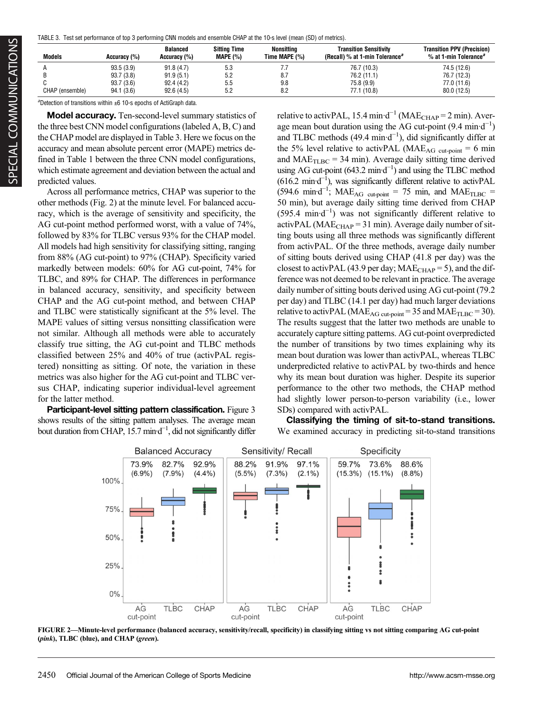TABLE 3. Test set performance of top 3 performing CNN models and ensemble CHAP at the 10-s level (mean (SD) of metrics).

| <b>Models</b>   | Accuracy (%) | <b>Balanced</b><br>Accuracy (%) | <b>Sitting Time</b><br><b>MAPE (%)</b> | Nonsittina<br>Time MAPE (%) | <b>Transition Sensitivity</b><br>(Recall) % at 1-min Tolerance <sup>a</sup> | <b>Transition PPV (Precision)</b><br>$%$ at 1-min Tolerance <sup>a</sup> |
|-----------------|--------------|---------------------------------|----------------------------------------|-----------------------------|-----------------------------------------------------------------------------|--------------------------------------------------------------------------|
|                 | 93.5(3.9)    | 91.8(4.7)                       | 5.3                                    | ۱.۱                         | 76.7 (10.3)                                                                 | 74.5 (12.6)                                                              |
|                 | 93.7(3.8)    | 91.9 (5.1)                      | 5.2                                    | 8.7                         | 76.2 (11.1)                                                                 | 76.7 (12.3)                                                              |
|                 | 93.7(3.6)    | 92.4(4.2)                       | 5.5                                    | 9.8                         | 75.8 (9.9)                                                                  | 77.0 (11.6)                                                              |
| CHAP (ensemble) | 94.1(3.6)    | 92.6(4.5)                       | 5.2                                    | 8.2                         | 77.1 (10.8)                                                                 | 80.0 (12.5)                                                              |

<sup>a</sup>Detection of transitions within  $\pm 6$  10-s epochs of ActiGraph data.

Model accuracy. Ten-second-level summary statistics of the three best CNN model configurations (labeled A, B, C) and the CHAP model are displayed in Table 3. Here we focus on the accuracy and mean absolute percent error (MAPE) metrics defined in Table 1 between the three CNN model configurations, which estimate agreement and deviation between the actual and predicted values.

Across all performance metrics, CHAP was superior to the other methods (Fig. 2) at the minute level. For balanced accuracy, which is the average of sensitivity and specificity, the AG cut-point method performed worst, with a value of 74%, followed by 83% for TLBC versus 93% for the CHAP model. All models had high sensitivity for classifying sitting, ranging from 88% (AG cut-point) to 97% (CHAP). Specificity varied markedly between models: 60% for AG cut-point, 74% for TLBC, and 89% for CHAP. The differences in performance in balanced accuracy, sensitivity, and specificity between CHAP and the AG cut-point method, and between CHAP and TLBC were statistically significant at the 5% level. The MAPE values of sitting versus nonsitting classification were not similar. Although all methods were able to accurately classify true sitting, the AG cut-point and TLBC methods classified between 25% and 40% of true (activPAL registered) nonsitting as sitting. Of note, the variation in these metrics was also higher for the AG cut-point and TLBC versus CHAP, indicating superior individual-level agreement for the latter method.

Participant-level sitting pattern classification. Figure 3 shows results of the sitting pattern analyses. The average mean bout duration from CHAP, 15.7 min·d−<sup>1</sup> , did not significantly differ

relative to activPAL, 15.4 min·d<sup>-1</sup> (MAE<sub>CHAP</sub> = 2 min). Average mean bout duration using the AG cut-point  $(9.4 \text{ min} \cdot \text{d}^{-1})$ and TLBC methods (49.4 min·d−<sup>1</sup> ), did significantly differ at the 5% level relative to activPAL (MAE<sub>AG cut-point</sub> = 6 min and  $MAE<sub>TLBC</sub> = 34 min$ . Average daily sitting time derived using AG cut-point  $(643.2 \text{ min-d}^{-1})$  and using the TLBC method (616.2 min·d−<sup>1</sup> ), was significantly different relative to activPAL  $(594.6 \text{ min-d}^{-1})$ ; MAE<sub>AG cut-point</sub> = 75 min, and MAE<sub>TLBC</sub> = 50 min), but average daily sitting time derived from CHAP (595.4 min·d−<sup>1</sup> ) was not significantly different relative to activPAL (MAE $_{\text{CHAP}}$  = 31 min). Average daily number of sitting bouts using all three methods was significantly different from activPAL. Of the three methods, average daily number of sitting bouts derived using CHAP (41.8 per day) was the closest to activPAL (43.9 per day;  $MAE<sub>CHAP</sub> = 5$ ), and the difference was not deemed to be relevant in practice. The average daily number of sitting bouts derived using AG cut-point (79.2 per day) and TLBC (14.1 per day) had much larger deviations relative to activPAL (MAE<sub>AG cut-point</sub> = 35 and MAE<sub>TLBC</sub> = 30). The results suggest that the latter two methods are unable to accurately capture sitting patterns. AG cut-point overpredicted the number of transitions by two times explaining why its mean bout duration was lower than activPAL, whereas TLBC underpredicted relative to activPAL by two-thirds and hence why its mean bout duration was higher. Despite its superior performance to the other two methods, the CHAP method had slightly lower person-to-person variability (i.e., lower SDs) compared with activPAL.

Classifying the timing of sit-to-stand transitions. We examined accuracy in predicting sit-to-stand transitions



FIGURE 2—Minute-level performance (balanced accuracy, sensitivity/recall, specificity) in classifying sitting vs not sitting comparing AG cut-point (pink), TLBC (blue), and CHAP (green).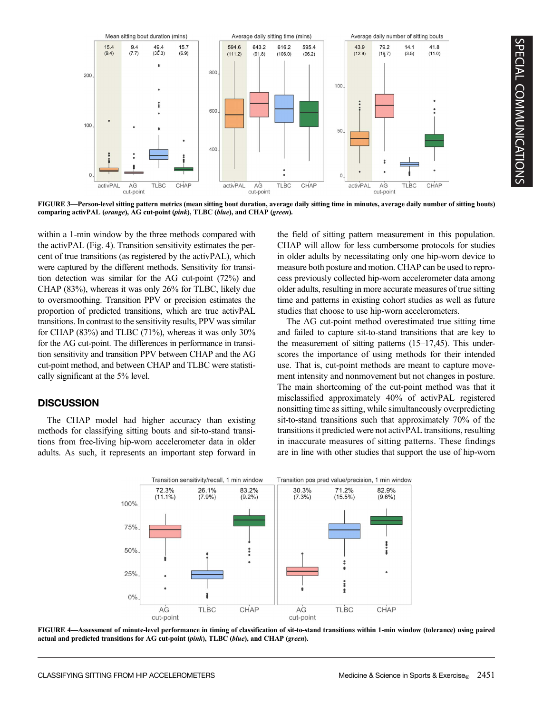

FIGURE 3—Person-level sitting pattern metrics (mean sitting bout duration, average daily sitting time in minutes, average daily number of sitting bouts) comparing activPAL (orange), AG cut-point (pink), TLBC (blue), and CHAP (green).

within a 1-min window by the three methods compared with the activPAL (Fig. 4). Transition sensitivity estimates the percent of true transitions (as registered by the activPAL), which were captured by the different methods. Sensitivity for transition detection was similar for the AG cut-point (72%) and CHAP (83%), whereas it was only 26% for TLBC, likely due to oversmoothing. Transition PPV or precision estimates the proportion of predicted transitions, which are true activPAL transitions. In contrast to the sensitivity results, PPV was similar for CHAP  $(83\%)$  and TLBC  $(71\%)$ , whereas it was only  $30\%$ for the AG cut-point. The differences in performance in transition sensitivity and transition PPV between CHAP and the AG cut-point method, and between CHAP and TLBC were statistically significant at the 5% level.

# **DISCUSSION**

The CHAP model had higher accuracy than existing methods for classifying sitting bouts and sit-to-stand transitions from free-living hip-worn accelerometer data in older adults. As such, it represents an important step forward in the field of sitting pattern measurement in this population. CHAP will allow for less cumbersome protocols for studies in older adults by necessitating only one hip-worn device to measure both posture and motion. CHAP can be used to reprocess previously collected hip-worn accelerometer data among older adults, resulting in more accurate measures of true sitting time and patterns in existing cohort studies as well as future studies that choose to use hip-worn accelerometers.

The AG cut-point method overestimated true sitting time and failed to capture sit-to-stand transitions that are key to the measurement of sitting patterns (15–17,45). This underscores the importance of using methods for their intended use. That is, cut-point methods are meant to capture movement intensity and nonmovement but not changes in posture. The main shortcoming of the cut-point method was that it misclassified approximately 40% of activPAL registered nonsitting time as sitting, while simultaneously overpredicting sit-to-stand transitions such that approximately 70% of the transitions it predicted were not activPAL transitions, resulting in inaccurate measures of sitting patterns. These findings are in line with other studies that support the use of hip-worn



FIGURE 4—Assessment of minute-level performance in timing of classification of sit-to-stand transitions within 1-min window (tolerance) using paired actual and predicted transitions for AG cut-point (pink), TLBC (blue), and CHAP (green).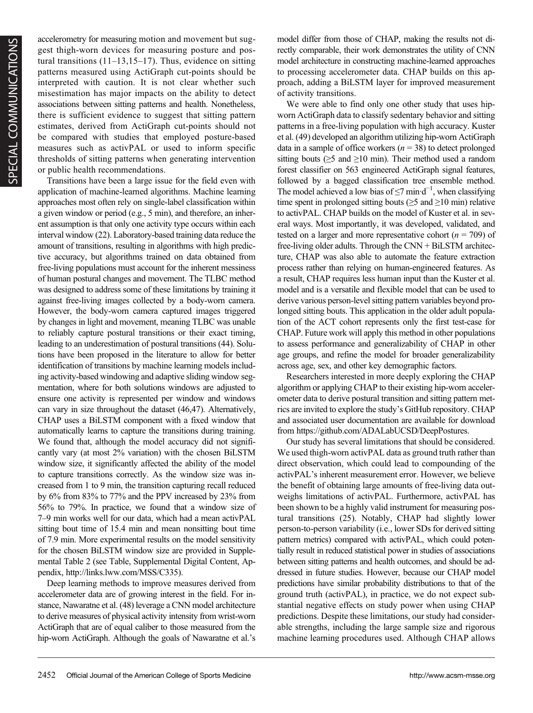accelerometry for measuring motion and movement but suggest thigh-worn devices for measuring posture and postural transitions  $(11-13,15-17)$ . Thus, evidence on sitting patterns measured using ActiGraph cut-points should be interpreted with caution. It is not clear whether such misestimation has major impacts on the ability to detect associations between sitting patterns and health. Nonetheless, there is sufficient evidence to suggest that sitting pattern estimates, derived from ActiGraph cut-points should not be compared with studies that employed posture-based measures such as activPAL or used to inform specific thresholds of sitting patterns when generating intervention or public health recommendations.

Transitions have been a large issue for the field even with application of machine-learned algorithms. Machine learning approaches most often rely on single-label classification within a given window or period (e.g., 5 min), and therefore, an inherent assumption is that only one activity type occurs within each interval window (22). Laboratory-based training data reduce the amount of transitions, resulting in algorithms with high predictive accuracy, but algorithms trained on data obtained from free-living populations must account for the inherent messiness of human postural changes and movement. The TLBC method was designed to address some of these limitations by training it against free-living images collected by a body-worn camera. However, the body-worn camera captured images triggered by changes in light and movement, meaning TLBC was unable to reliably capture postural transitions or their exact timing, leading to an underestimation of postural transitions (44). Solutions have been proposed in the literature to allow for better identification of transitions by machine learning models including activity-based windowing and adaptive sliding window segmentation, where for both solutions windows are adjusted to ensure one activity is represented per window and windows can vary in size throughout the dataset (46,47). Alternatively, CHAP uses a BiLSTM component with a fixed window that automatically learns to capture the transitions during training. We found that, although the model accuracy did not significantly vary (at most 2% variation) with the chosen BiLSTM window size, it significantly affected the ability of the model to capture transitions correctly. As the window size was increased from 1 to 9 min, the transition capturing recall reduced by 6% from 83% to 77% and the PPV increased by 23% from 56% to 79%. In practice, we found that a window size of 7–9 min works well for our data, which had a mean activPAL sitting bout time of 15.4 min and mean nonsitting bout time of 7.9 min. More experimental results on the model sensitivity for the chosen BiLSTM window size are provided in Supplemental Table 2 (see Table, Supplemental Digital Content, Appendix, [http://links.lww.com/MSS/C335\)](http://links.lww.com/MSS/C335).

Deep learning methods to improve measures derived from accelerometer data are of growing interest in the field. For instance, Nawaratne et al. (48) leverage a CNN model architecture to derive measures of physical activity intensity from wrist-worn ActiGraph that are of equal caliber to those measured from the hip-worn ActiGraph. Although the goals of Nawaratne et al.'s model differ from those of CHAP, making the results not directly comparable, their work demonstrates the utility of CNN model architecture in constructing machine-learned approaches to processing accelerometer data. CHAP builds on this approach, adding a BiLSTM layer for improved measurement of activity transitions.

We were able to find only one other study that uses hipworn ActiGraph data to classify sedentary behavior and sitting patterns in a free-living population with high accuracy. Kuster et al. (49) developed an algorithm utilizing hip-worn ActiGraph data in a sample of office workers ( $n = 38$ ) to detect prolonged sitting bouts ( $\geq$ 5 and  $\geq$ 10 min). Their method used a random forest classifier on 563 engineered ActiGraph signal features, followed by a bagged classification tree ensemble method. The model achieved a low bias of ≤7 min·d<sup>-1</sup>, when classifying time spent in prolonged sitting bouts ( $\geq$ 5 and  $\geq$ 10 min) relative to activPAL. CHAP builds on the model of Kuster et al. in several ways. Most importantly, it was developed, validated, and tested on a larger and more representative cohort ( $n = 709$ ) of free-living older adults. Through the CNN + BiLSTM architecture, CHAP was also able to automate the feature extraction process rather than relying on human-engineered features. As a result, CHAP requires less human input than the Kuster et al. model and is a versatile and flexible model that can be used to derive various person-level sitting pattern variables beyond prolonged sitting bouts. This application in the older adult population of the ACT cohort represents only the first test-case for CHAP. Future work will apply this method in other populations to assess performance and generalizability of CHAP in other age groups, and refine the model for broader generalizability across age, sex, and other key demographic factors.

Researchers interested in more deeply exploring the CHAP algorithm or applying CHAP to their existing hip-worn accelerometer data to derive postural transition and sitting pattern metrics are invited to explore the study's GitHub repository. CHAP and associated user documentation are available for download from<https://github.com/ADALabUCSD/DeepPostures>.

Our study has several limitations that should be considered. We used thigh-worn activPAL data as ground truth rather than direct observation, which could lead to compounding of the activPAL's inherent measurement error. However, we believe the benefit of obtaining large amounts of free-living data outweighs limitations of activPAL. Furthermore, activPAL has been shown to be a highly valid instrument for measuring postural transitions (25). Notably, CHAP had slightly lower person-to-person variability (i.e., lower SDs for derived sitting pattern metrics) compared with activPAL, which could potentially result in reduced statistical power in studies of associations between sitting patterns and health outcomes, and should be addressed in future studies. However, because our CHAP model predictions have similar probability distributions to that of the ground truth (activPAL), in practice, we do not expect substantial negative effects on study power when using CHAP predictions. Despite these limitations, our study had considerable strengths, including the large sample size and rigorous machine learning procedures used. Although CHAP allows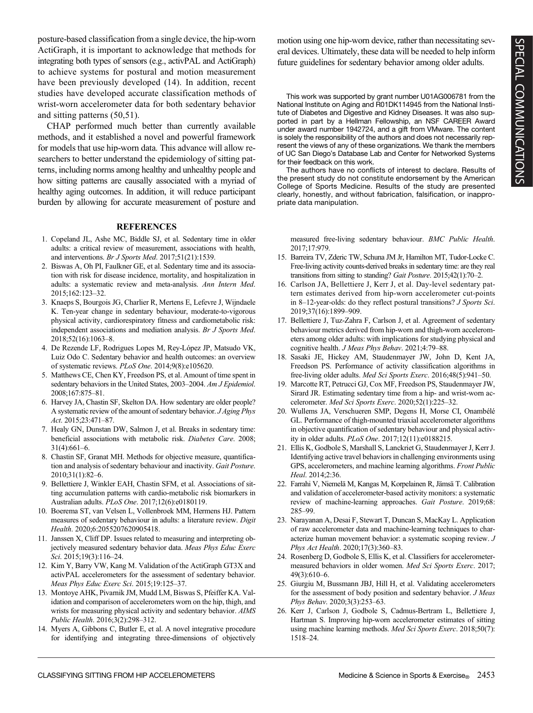posture-based classification from a single device, the hip-worn ActiGraph, it is important to acknowledge that methods for integrating both types of sensors (e.g., activPAL and ActiGraph) to achieve systems for postural and motion measurement have been previously developed (14). In addition, recent studies have developed accurate classification methods of wrist-worn accelerometer data for both sedentary behavior and sitting patterns (50,51).

CHAP performed much better than currently available methods, and it established a novel and powerful framework for models that use hip-worn data. This advance will allow researchers to better understand the epidemiology of sitting patterns, including norms among healthy and unhealthy people and how sitting patterns are causally associated with a myriad of healthy aging outcomes. In addition, it will reduce participant burden by allowing for accurate measurement of posture and

#### **REFERENCES**

- 1. Copeland JL, Ashe MC, Biddle SJ, et al. Sedentary time in older adults: a critical review of measurement, associations with health, and interventions. Br J Sports Med. 2017;51(21):1539.
- 2. Biswas A, Oh PI, Faulkner GE, et al. Sedentary time and its association with risk for disease incidence, mortality, and hospitalization in adults: a systematic review and meta-analysis. Ann Intern Med. 2015;162:123–32.
- 3. Knaeps S, Bourgois JG, Charlier R, Mertens E, Lefevre J, Wijndaele K. Ten-year change in sedentary behaviour, moderate-to-vigorous physical activity, cardiorespiratory fitness and cardiometabolic risk: independent associations and mediation analysis. Br J Sports Med. 2018;52(16):1063–8.
- 4. De Rezende LF, Rodrigues Lopes M, Rey-López JP, Matsudo VK, Luiz Odo C. Sedentary behavior and health outcomes: an overview of systematic reviews. PLoS One. 2014;9(8):e105620.
- 5. Matthews CE, Chen KY, Freedson PS, et al. Amount of time spent in sedentary behaviors in the United States, 2003-2004. Am J Epidemiol. 2008;167:875–81.
- 6. Harvey JA, Chastin SF, Skelton DA. How sedentary are older people? A systematic review of the amount of sedentary behavior. J Aging Phys Act. 2015;23:471–87.
- 7. Healy GN, Dunstan DW, Salmon J, et al. Breaks in sedentary time: beneficial associations with metabolic risk. Diabetes Care. 2008; 31(4):661–6.
- 8. Chastin SF, Granat MH. Methods for objective measure, quantification and analysis of sedentary behaviour and inactivity. Gait Posture. 2010;31(1):82–6.
- 9. Bellettiere J, Winkler EAH, Chastin SFM, et al. Associations of sitting accumulation patterns with cardio-metabolic risk biomarkers in Australian adults. PLoS One. 2017;12(6):e0180119.
- 10. Boerema ST, van Velsen L, Vollenbroek MM, Hermens HJ. Pattern measures of sedentary behaviour in adults: a literature review. Digit Health. 2020;6:2055207620905418.
- 11. Janssen X, Cliff DP. Issues related to measuring and interpreting objectively measured sedentary behavior data. Meas Phys Educ Exerc Sci. 2015;19(3):116-24.
- 12. Kim Y, Barry VW, Kang M. Validation of the ActiGraph GT3X and activPAL accelerometers for the assessment of sedentary behavior. Meas Phys Educ Exerc Sci. 2015;19:125–37.
- 13. Montoye AHK, Pivarnik JM, Mudd LM, Biswas S, Pfeiffer KA. Validation and comparison of accelerometers worn on the hip, thigh, and wrists for measuring physical activity and sedentary behavior. AIMS Public Health. 2016;3(2):298–312.
- 14. Myers A, Gibbons C, Butler E, et al. A novel integrative procedure for identifying and integrating three-dimensions of objectively

motion using one hip-worn device, rather than necessitating several devices. Ultimately, these data will be needed to help inform future guidelines for sedentary behavior among older adults.

This work was supported by grant number U01AG006781 from the National Institute on Aging and R01DK114945 from the National Institute of Diabetes and Digestive and Kidney Diseases. It was also supported in part by a Hellman Fellowship, an NSF CAREER Award under award number 1942724, and a gift from VMware. The content is solely the responsibility of the authors and does not necessarily represent the views of any of these organizations. We thank the members of UC San Diego's Database Lab and Center for Networked Systems for their feedback on this work.

The authors have no conflicts of interest to declare. Results of the present study do not constitute endorsement by the American College of Sports Medicine. Results of the study are presented clearly, honestly, and without fabrication, falsification, or inappropriate data manipulation.

measured free-living sedentary behaviour. BMC Public Health. 2017;17:979.

- 15. Barreira TV, Zderic TW, Schuna JM Jr, Hamilton MT, Tudor-Locke C. Free-living activity counts-derived breaks in sedentary time: are they real transitions from sitting to standing? Gait Posture. 2015;42(1):70–2.
- 16. Carlson JA, Bellettiere J, Kerr J, et al. Day-level sedentary pattern estimates derived from hip-worn accelerometer cut-points in 8–12-year-olds: do they reflect postural transitions? J Sports Sci. 2019;37(16):1899–909.
- 17. Bellettiere J, Tuz-Zahra F, Carlson J, et al. Agreement of sedentary behaviour metrics derived from hip-worn and thigh-worn accelerometers among older adults: with implications for studying physical and cognitive health. J Meas Phys Behav. 2021;4:79–88.
- 18. Sasaki JE, Hickey AM, Staudenmayer JW, John D, Kent JA, Freedson PS. Performance of activity classification algorithms in free-living older adults. Med Sci Sports Exerc. 2016;48(5):941-50.
- 19. Marcotte RT, Petrucci GJ, Cox MF, Freedson PS, Staudenmayer JW, Sirard JR. Estimating sedentary time from a hip- and wrist-worn accelerometer. Med Sci Sports Exerc. 2020;52(1):225–32.
- 20. Wullems JA, Verschueren SMP, Degens H, Morse CI, Onambélé GL. Performance of thigh-mounted triaxial accelerometer algorithms in objective quantification of sedentary behaviour and physical activity in older adults. PLoS One. 2017;12(11):e0188215.
- 21. Ellis K, Godbole S, Marshall S, Lanckriet G, Staudenmayer J, Kerr J. Identifying active travel behaviors in challenging environments using GPS, accelerometers, and machine learning algorithms. Front Public Heal. 2014;2:36.
- 22. Farrahi V, Niemelä M, Kangas M, Korpelainen R, Jämsä T. Calibration and validation of accelerometer-based activity monitors: a systematic review of machine-learning approaches. Gait Posture. 2019;68: 285–99.
- 23. Narayanan A, Desai F, Stewart T, Duncan S, MacKay L. Application of raw accelerometer data and machine-learning techniques to characterize human movement behavior: a systematic scoping review. J Phys Act Health. 2020;17(3):360–83.
- 24. Rosenberg D, Godbole S, Ellis K, et al. Classifiers for accelerometermeasured behaviors in older women. Med Sci Sports Exerc. 2017; 49(3):610–6.
- 25. Giurgiu M, Bussmann JBJ, Hill H, et al. Validating accelerometers for the assessment of body position and sedentary behavior. J Meas Phys Behav. 2020;3(3):253–63.
- 26. Kerr J, Carlson J, Godbole S, Cadmus-Bertram L, Bellettiere J, Hartman S. Improving hip-worn accelerometer estimates of sitting using machine learning methods. Med Sci Sports Exerc. 2018;50(7): 1518–24.